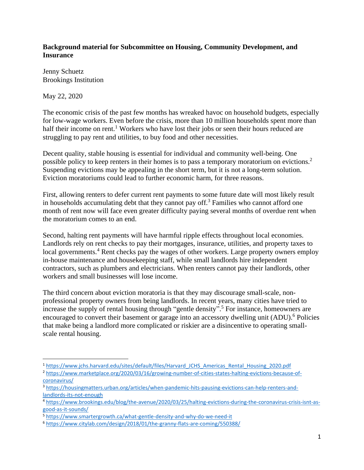## **Background material for Subcommittee on Housing, Community Development, and Insurance**

Jenny Schuetz Brookings Institution

May 22, 2020

The economic crisis of the past few months has wreaked havoc on household budgets, especially for low-wage workers. Even before the crisis, more than 10 million households spent more than half their income on rent.<sup>1</sup> Workers who have lost their jobs or seen their hours reduced are struggling to pay rent and utilities, to buy food and other necessities.

Decent quality, stable housing is essential for individual and community well-being. One possible policy to keep renters in their homes is to pass a temporary moratorium on evictions.<sup>2</sup> Suspending evictions may be appealing in the short term, but it is not a long-term solution. Eviction moratoriums could lead to further economic harm, for three reasons.

First, allowing renters to defer current rent payments to some future date will most likely result in households accumulating debt that they cannot pay off. <sup>3</sup> Families who cannot afford one month of rent now will face even greater difficulty paying several months of overdue rent when the moratorium comes to an end.

Second, halting rent payments will have harmful ripple effects throughout local economies. Landlords rely on rent checks to pay their mortgages, insurance, utilities, and property taxes to local governments.<sup>4</sup> Rent checks pay the wages of other workers. Large property owners employ in-house maintenance and housekeeping staff, while small landlords hire independent contractors, such as plumbers and electricians. When renters cannot pay their landlords, other workers and small businesses will lose income.

The third concern about eviction moratoria is that they may discourage small-scale, nonprofessional property owners from being landlords. In recent years, many cities have tried to increase the supply of rental housing through "gentle density". <sup>5</sup> For instance, homeowners are encouraged to convert their basement or garage into an accessory dwelling unit (ADU).<sup>6</sup> Policies that make being a landlord more complicated or riskier are a disincentive to operating smallscale rental housing.

<sup>&</sup>lt;sup>1</sup> [https://www.jchs.harvard.edu/sites/default/files/Harvard\\_JCHS\\_Americas\\_Rental\\_Housing\\_2020.pdf](https://www.jchs.harvard.edu/sites/default/files/Harvard_JCHS_Americas_Rental_Housing_2020.pdf)

<sup>2</sup> [https://www.marketplace.org/2020/03/16/growing-number-of-cities-states-halting-evictions-because-of](https://www.marketplace.org/2020/03/16/growing-number-of-cities-states-halting-evictions-because-of-coronavirus/)[coronavirus/](https://www.marketplace.org/2020/03/16/growing-number-of-cities-states-halting-evictions-because-of-coronavirus/)

<sup>3</sup> [https://housingmatters.urban.org/articles/when-pandemic-hits-pausing-evictions-can-help-renters-and](https://housingmatters.urban.org/articles/when-pandemic-hits-pausing-evictions-can-help-renters-and-landlords-its-not-enough)[landlords-its-not-enough](https://housingmatters.urban.org/articles/when-pandemic-hits-pausing-evictions-can-help-renters-and-landlords-its-not-enough)

<sup>4</sup> [https://www.brookings.edu/blog/the-avenue/2020/03/25/halting-evictions-during-the-coronavirus-crisis-isnt-as](https://www.brookings.edu/blog/the-avenue/2020/03/25/halting-evictions-during-the-coronavirus-crisis-isnt-as-good-as-it-sounds/)[good-as-it-sounds/](https://www.brookings.edu/blog/the-avenue/2020/03/25/halting-evictions-during-the-coronavirus-crisis-isnt-as-good-as-it-sounds/)

<sup>5</sup> <https://www.smartergrowth.ca/what-gentle-density-and-why-do-we-need-it>

<sup>6</sup> <https://www.citylab.com/design/2018/01/the-granny-flats-are-coming/550388/>